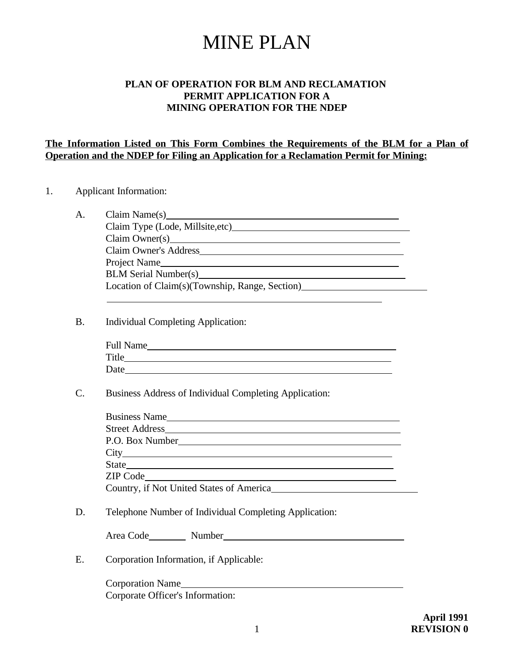# MINE PLAN

### **PLAN OF OPERATION FOR BLM AND RECLAMATION PERMIT APPLICATION FOR A MINING OPERATION FOR THE NDEP**

### **The Information Listed on This Form Combines the Requirements of the BLM for a Plan of Operation and the NDEP for Filing an Application for a Reclamation Permit for Mining:**

### 1. Applicant Information:

| А. | Claim Name(s)                                                                                                                                                                                                                  |
|----|--------------------------------------------------------------------------------------------------------------------------------------------------------------------------------------------------------------------------------|
|    | Claim Type (Lode, Millsite, etc)                                                                                                                                                                                               |
|    | Claim Owner(s) example and the contract of the contract of the contract of the contract of the contract of the contract of the contract of the contract of the contract of the contract of the contract of the contract of the |
|    | Claim Owner's Address                                                                                                                                                                                                          |
|    | Project Name                                                                                                                                                                                                                   |
|    | BLM Serial Number(s)                                                                                                                                                                                                           |
|    | Location of Claim(s)(Township, Range, Section)                                                                                                                                                                                 |
|    |                                                                                                                                                                                                                                |

B. Individual Completing Application:

| Full Name    |  |  |  |
|--------------|--|--|--|
| <b>Title</b> |  |  |  |
| Date         |  |  |  |

C. Business Address of Individual Completing Application:

| Street Address                           |  |
|------------------------------------------|--|
|                                          |  |
| $\text{City}\_$                          |  |
|                                          |  |
|                                          |  |
| Country, if Not United States of America |  |

D. Telephone Number of Individual Completing Application:

| Area Code | Number |  |
|-----------|--------|--|
|           |        |  |

E. Corporation Information, if Applicable:

Corporation Name Corporate Officer's Information: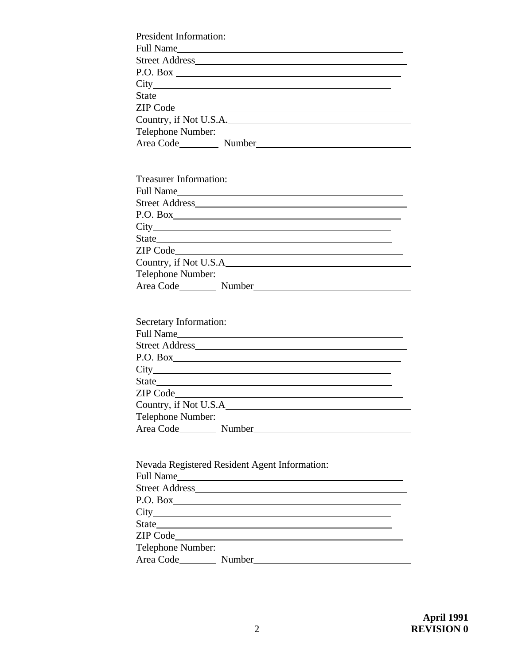| <b>President Information:</b> |
|-------------------------------|
| Full Name                     |
|                               |
| P.O. Box                      |
|                               |
|                               |
|                               |
| Country, if Not U.S.A.        |
| Telephone Number:             |
| Area Code Number              |
|                               |

| <b>Treasurer Information:</b> |  |           |  |  |  |
|-------------------------------|--|-----------|--|--|--|
|                               |  | Full Name |  |  |  |
| Street Address                |  |           |  |  |  |
| P.O. Box                      |  |           |  |  |  |
|                               |  |           |  |  |  |
|                               |  |           |  |  |  |
|                               |  |           |  |  |  |
| Country, if Not U.S.A         |  |           |  |  |  |
| Telephone Number:             |  |           |  |  |  |
| Area Code Number              |  |           |  |  |  |

| <b>Secretary Information:</b> |  |  |  |  |  |
|-------------------------------|--|--|--|--|--|
| Full Name                     |  |  |  |  |  |
|                               |  |  |  |  |  |
| P.O. Box                      |  |  |  |  |  |
| $\text{City}\_$               |  |  |  |  |  |
|                               |  |  |  |  |  |
|                               |  |  |  |  |  |
|                               |  |  |  |  |  |
| Telephone Number:             |  |  |  |  |  |
|                               |  |  |  |  |  |

| Nevada Registered Resident Agent Information: |  |  |  |  |  |  |
|-----------------------------------------------|--|--|--|--|--|--|
|                                               |  |  |  |  |  |  |
|                                               |  |  |  |  |  |  |
| P.O. Box                                      |  |  |  |  |  |  |
| $\text{City}\_$                               |  |  |  |  |  |  |
|                                               |  |  |  |  |  |  |
|                                               |  |  |  |  |  |  |
| Telephone Number:                             |  |  |  |  |  |  |
|                                               |  |  |  |  |  |  |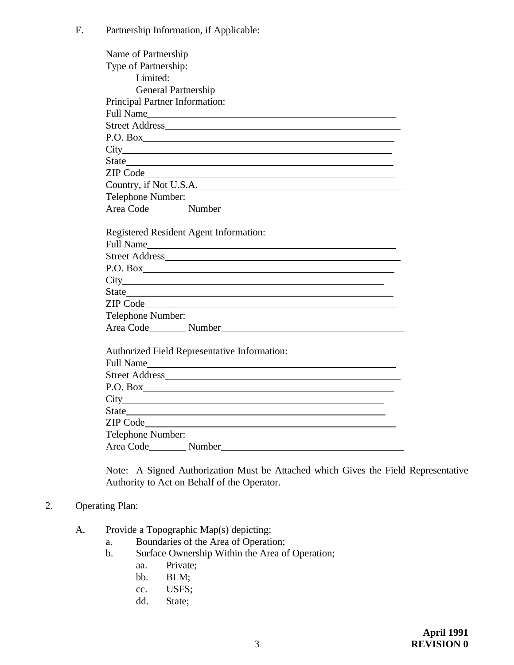F. Partnership Information, if Applicable:

| Name of Partnership                                                                                                                                                                                                            |
|--------------------------------------------------------------------------------------------------------------------------------------------------------------------------------------------------------------------------------|
| Type of Partnership:                                                                                                                                                                                                           |
| Limited:                                                                                                                                                                                                                       |
| <b>General Partnership</b>                                                                                                                                                                                                     |
| Principal Partner Information:                                                                                                                                                                                                 |
| Full Name                                                                                                                                                                                                                      |
|                                                                                                                                                                                                                                |
| P.O. Box                                                                                                                                                                                                                       |
|                                                                                                                                                                                                                                |
|                                                                                                                                                                                                                                |
|                                                                                                                                                                                                                                |
| Country, if Not U.S.A.                                                                                                                                                                                                         |
| Telephone Number:                                                                                                                                                                                                              |
| Area Code Number                                                                                                                                                                                                               |
| Registered Resident Agent Information:                                                                                                                                                                                         |
| Full Name                                                                                                                                                                                                                      |
|                                                                                                                                                                                                                                |
| P.O. Box                                                                                                                                                                                                                       |
|                                                                                                                                                                                                                                |
|                                                                                                                                                                                                                                |
|                                                                                                                                                                                                                                |
| Telephone Number:                                                                                                                                                                                                              |
| Area Code Number Number                                                                                                                                                                                                        |
| Authorized Field Representative Information:                                                                                                                                                                                   |
| Full Name                                                                                                                                                                                                                      |
|                                                                                                                                                                                                                                |
|                                                                                                                                                                                                                                |
|                                                                                                                                                                                                                                |
|                                                                                                                                                                                                                                |
| ZIP Code and the contract of the contract of the contract of the contract of the contract of the contract of the contract of the contract of the contract of the contract of the contract of the contract of the contract of t |
| Telephone Number:                                                                                                                                                                                                              |
| Area Code Number                                                                                                                                                                                                               |

Note: A Signed Authorization Must be Attached which Gives the Field Representative Authority to Act on Behalf of the Operator.

### 2. Operating Plan:

- A. Provide a Topographic Map(s) depicting;
	- a. Boundaries of the Area of Operation;
	- b. Surface Ownership Within the Area of Operation;
		- aa. Private;
		- bb. BLM;
		- cc. USFS;
		- dd. State;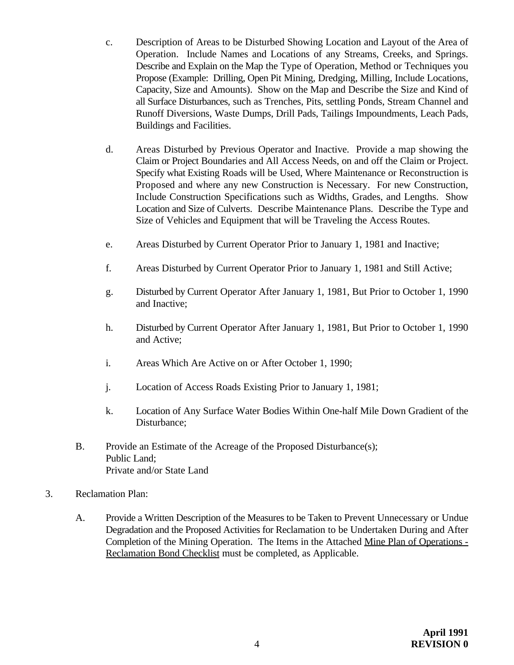- c. Description of Areas to be Disturbed Showing Location and Layout of the Area of Operation. Include Names and Locations of any Streams, Creeks, and Springs. Describe and Explain on the Map the Type of Operation, Method or Techniques you Propose (Example: Drilling, Open Pit Mining, Dredging, Milling, Include Locations, Capacity, Size and Amounts). Show on the Map and Describe the Size and Kind of all Surface Disturbances, such as Trenches, Pits, settling Ponds, Stream Channel and Runoff Diversions, Waste Dumps, Drill Pads, Tailings Impoundments, Leach Pads, Buildings and Facilities.
- d. Areas Disturbed by Previous Operator and Inactive. Provide a map showing the Claim or Project Boundaries and All Access Needs, on and off the Claim or Project. Specify what Existing Roads will be Used, Where Maintenance or Reconstruction is Proposed and where any new Construction is Necessary. For new Construction, Include Construction Specifications such as Widths, Grades, and Lengths. Show Location and Size of Culverts. Describe Maintenance Plans. Describe the Type and Size of Vehicles and Equipment that will be Traveling the Access Routes.
- e. Areas Disturbed by Current Operator Prior to January 1, 1981 and Inactive;
- f. Areas Disturbed by Current Operator Prior to January 1, 1981 and Still Active;
- g. Disturbed by Current Operator After January 1, 1981, But Prior to October 1, 1990 and Inactive;
- h. Disturbed by Current Operator After January 1, 1981, But Prior to October 1, 1990 and Active;
- i. Areas Which Are Active on or After October 1, 1990;
- j. Location of Access Roads Existing Prior to January 1, 1981;
- k. Location of Any Surface Water Bodies Within One-half Mile Down Gradient of the Disturbance;
- B. Provide an Estimate of the Acreage of the Proposed Disturbance(s); Public Land; Private and/or State Land
- 3. Reclamation Plan:
	- A. Provide a Written Description of the Measures to be Taken to Prevent Unnecessary or Undue Degradation and the Proposed Activities for Reclamation to be Undertaken During and After Completion of the Mining Operation. The Items in the Attached Mine Plan of Operations - Reclamation Bond Checklist must be completed, as Applicable.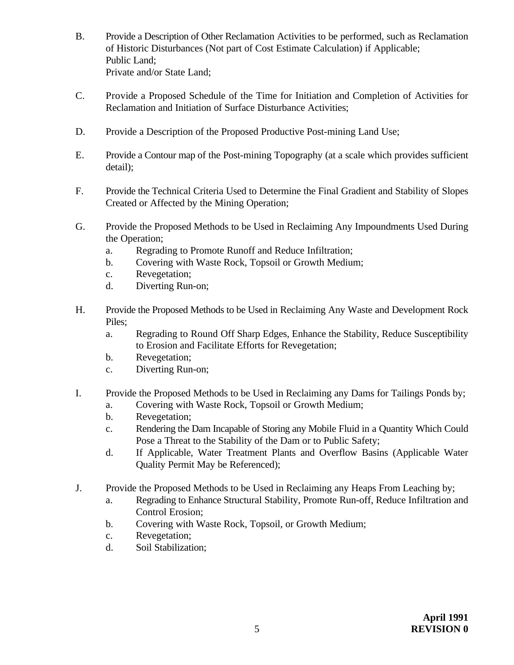- B. Provide a Description of Other Reclamation Activities to be performed, such as Reclamation of Historic Disturbances (Not part of Cost Estimate Calculation) if Applicable; Public Land; Private and/or State Land;
- C. Provide a Proposed Schedule of the Time for Initiation and Completion of Activities for Reclamation and Initiation of Surface Disturbance Activities;
- D. Provide a Description of the Proposed Productive Post-mining Land Use;
- E. Provide a Contour map of the Post-mining Topography (at a scale which provides sufficient detail);
- F. Provide the Technical Criteria Used to Determine the Final Gradient and Stability of Slopes Created or Affected by the Mining Operation;
- G. Provide the Proposed Methods to be Used in Reclaiming Any Impoundments Used During the Operation;
	- a. Regrading to Promote Runoff and Reduce Infiltration;
	- b. Covering with Waste Rock, Topsoil or Growth Medium;
	- c. Revegetation;
	- d. Diverting Run-on;
- H. Provide the Proposed Methods to be Used in Reclaiming Any Waste and Development Rock Piles;
	- a. Regrading to Round Off Sharp Edges, Enhance the Stability, Reduce Susceptibility to Erosion and Facilitate Efforts for Revegetation;
	- b. Revegetation;
	- c. Diverting Run-on;
- I. Provide the Proposed Methods to be Used in Reclaiming any Dams for Tailings Ponds by;
	- a. Covering with Waste Rock, Topsoil or Growth Medium;
	- b. Revegetation;
	- c. Rendering the Dam Incapable of Storing any Mobile Fluid in a Quantity Which Could Pose a Threat to the Stability of the Dam or to Public Safety;
	- d. If Applicable, Water Treatment Plants and Overflow Basins (Applicable Water Quality Permit May be Referenced);
- J. Provide the Proposed Methods to be Used in Reclaiming any Heaps From Leaching by;
	- a. Regrading to Enhance Structural Stability, Promote Run-off, Reduce Infiltration and Control Erosion;
	- b. Covering with Waste Rock, Topsoil, or Growth Medium;
	- c. Revegetation;
	- d. Soil Stabilization;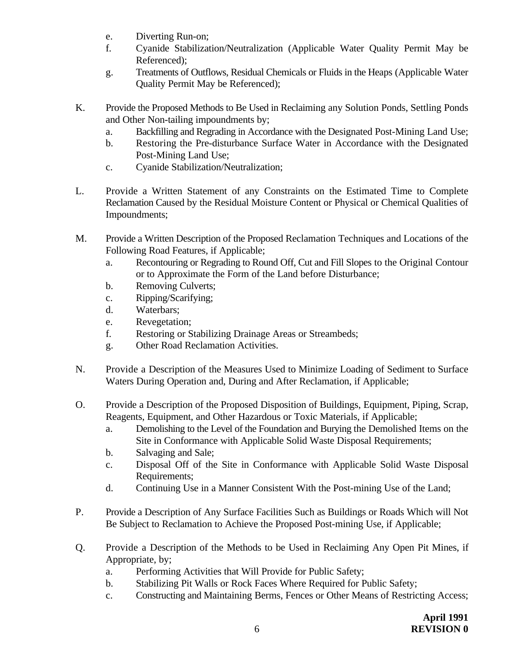- e. Diverting Run-on;
- f. Cyanide Stabilization/Neutralization (Applicable Water Quality Permit May be Referenced);
- g. Treatments of Outflows, Residual Chemicals or Fluids in the Heaps (Applicable Water Quality Permit May be Referenced);
- K. Provide the Proposed Methods to Be Used in Reclaiming any Solution Ponds, Settling Ponds and Other Non-tailing impoundments by;
	- a. Backfilling and Regrading in Accordance with the Designated Post-Mining Land Use;
	- b. Restoring the Pre-disturbance Surface Water in Accordance with the Designated Post-Mining Land Use;
	- c. Cyanide Stabilization/Neutralization;
- L. Provide a Written Statement of any Constraints on the Estimated Time to Complete Reclamation Caused by the Residual Moisture Content or Physical or Chemical Qualities of Impoundments;
- M. Provide a Written Description of the Proposed Reclamation Techniques and Locations of the Following Road Features, if Applicable;
	- a. Recontouring or Regrading to Round Off, Cut and Fill Slopes to the Original Contour or to Approximate the Form of the Land before Disturbance;
	- b. Removing Culverts;
	- c. Ripping/Scarifying;
	- d. Waterbars;
	- e. Revegetation;
	- f. Restoring or Stabilizing Drainage Areas or Streambeds;
	- g. Other Road Reclamation Activities.
- N. Provide a Description of the Measures Used to Minimize Loading of Sediment to Surface Waters During Operation and, During and After Reclamation, if Applicable;
- O. Provide a Description of the Proposed Disposition of Buildings, Equipment, Piping, Scrap, Reagents, Equipment, and Other Hazardous or Toxic Materials, if Applicable;
	- a. Demolishing to the Level of the Foundation and Burying the Demolished Items on the Site in Conformance with Applicable Solid Waste Disposal Requirements;
	- b. Salvaging and Sale;
	- c. Disposal Off of the Site in Conformance with Applicable Solid Waste Disposal Requirements;
	- d. Continuing Use in a Manner Consistent With the Post-mining Use of the Land;
- P. Provide a Description of Any Surface Facilities Such as Buildings or Roads Which will Not Be Subject to Reclamation to Achieve the Proposed Post-mining Use, if Applicable;
- Q. Provide a Description of the Methods to be Used in Reclaiming Any Open Pit Mines, if Appropriate, by;
	- a. Performing Activities that Will Provide for Public Safety;
	- b. Stabilizing Pit Walls or Rock Faces Where Required for Public Safety;
	- c. Constructing and Maintaining Berms, Fences or Other Means of Restricting Access;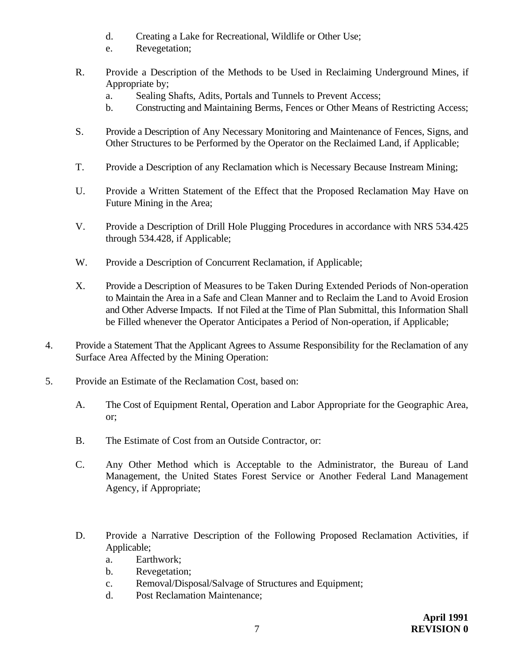- d. Creating a Lake for Recreational, Wildlife or Other Use;
- e. Revegetation;
- R. Provide a Description of the Methods to be Used in Reclaiming Underground Mines, if Appropriate by;
	- a. Sealing Shafts, Adits, Portals and Tunnels to Prevent Access;
	- b. Constructing and Maintaining Berms, Fences or Other Means of Restricting Access;
- S. Provide a Description of Any Necessary Monitoring and Maintenance of Fences, Signs, and Other Structures to be Performed by the Operator on the Reclaimed Land, if Applicable;
- T. Provide a Description of any Reclamation which is Necessary Because Instream Mining;
- U. Provide a Written Statement of the Effect that the Proposed Reclamation May Have on Future Mining in the Area;
- V. Provide a Description of Drill Hole Plugging Procedures in accordance with NRS 534.425 through 534.428, if Applicable;
- W. Provide a Description of Concurrent Reclamation, if Applicable;
- X. Provide a Description of Measures to be Taken During Extended Periods of Non-operation to Maintain the Area in a Safe and Clean Manner and to Reclaim the Land to Avoid Erosion and Other Adverse Impacts. If not Filed at the Time of Plan Submittal, this Information Shall be Filled whenever the Operator Anticipates a Period of Non-operation, if Applicable;
- 4. Provide a Statement That the Applicant Agrees to Assume Responsibility for the Reclamation of any Surface Area Affected by the Mining Operation:
- 5. Provide an Estimate of the Reclamation Cost, based on:
	- A. The Cost of Equipment Rental, Operation and Labor Appropriate for the Geographic Area, or;
	- B. The Estimate of Cost from an Outside Contractor, or:
	- C. Any Other Method which is Acceptable to the Administrator, the Bureau of Land Management, the United States Forest Service or Another Federal Land Management Agency, if Appropriate;
	- D. Provide a Narrative Description of the Following Proposed Reclamation Activities, if Applicable;
		- a. Earthwork;
		- b. Revegetation;
		- c. Removal/Disposal/Salvage of Structures and Equipment;
		- d. Post Reclamation Maintenance;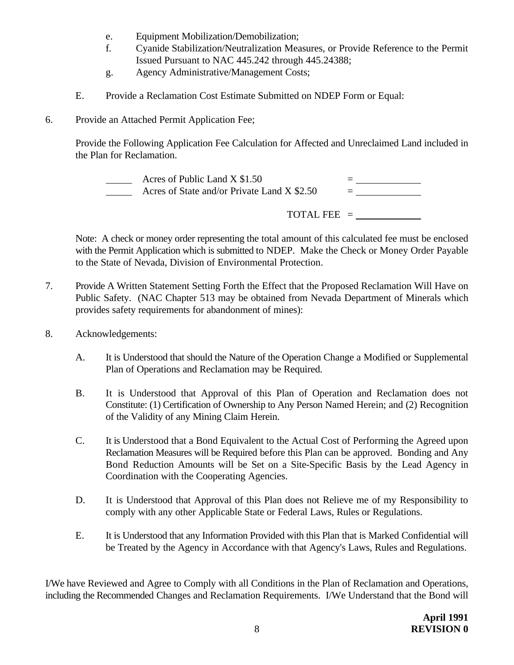- e. Equipment Mobilization/Demobilization;
- f. Cyanide Stabilization/Neutralization Measures, or Provide Reference to the Permit Issued Pursuant to NAC 445.242 through 445.24388;
- g. Agency Administrative/Management Costs;
- E. Provide a Reclamation Cost Estimate Submitted on NDEP Form or Equal:
- 6. Provide an Attached Permit Application Fee;

Provide the Following Application Fee Calculation for Affected and Unreclaimed Land included in the Plan for Reclamation.

 Acres of Public Land X \$1.50 = Acres of State and/or Private Land X \$2.50

TOTAL FEE =

Note: A check or money order representing the total amount of this calculated fee must be enclosed with the Permit Application which is submitted to NDEP. Make the Check or Money Order Payable to the State of Nevada, Division of Environmental Protection.

- 7. Provide A Written Statement Setting Forth the Effect that the Proposed Reclamation Will Have on Public Safety. (NAC Chapter 513 may be obtained from Nevada Department of Minerals which provides safety requirements for abandonment of mines):
- 8. Acknowledgements:
	- A. It is Understood that should the Nature of the Operation Change a Modified or Supplemental Plan of Operations and Reclamation may be Required.
	- B. It is Understood that Approval of this Plan of Operation and Reclamation does not Constitute: (1) Certification of Ownership to Any Person Named Herein; and (2) Recognition of the Validity of any Mining Claim Herein.
	- C. It is Understood that a Bond Equivalent to the Actual Cost of Performing the Agreed upon Reclamation Measures will be Required before this Plan can be approved. Bonding and Any Bond Reduction Amounts will be Set on a Site-Specific Basis by the Lead Agency in Coordination with the Cooperating Agencies.
	- D. It is Understood that Approval of this Plan does not Relieve me of my Responsibility to comply with any other Applicable State or Federal Laws, Rules or Regulations.
	- E. It is Understood that any Information Provided with this Plan that is Marked Confidential will be Treated by the Agency in Accordance with that Agency's Laws, Rules and Regulations.

I/We have Reviewed and Agree to Comply with all Conditions in the Plan of Reclamation and Operations, including the Recommended Changes and Reclamation Requirements. I/We Understand that the Bond will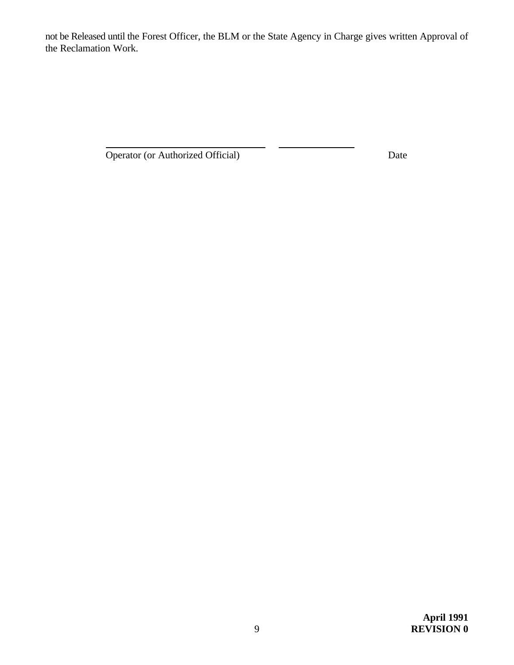not be Released until the Forest Officer, the BLM or the State Agency in Charge gives written Approval of the Reclamation Work.

Operator (or Authorized Official) Date

 $\overline{a}$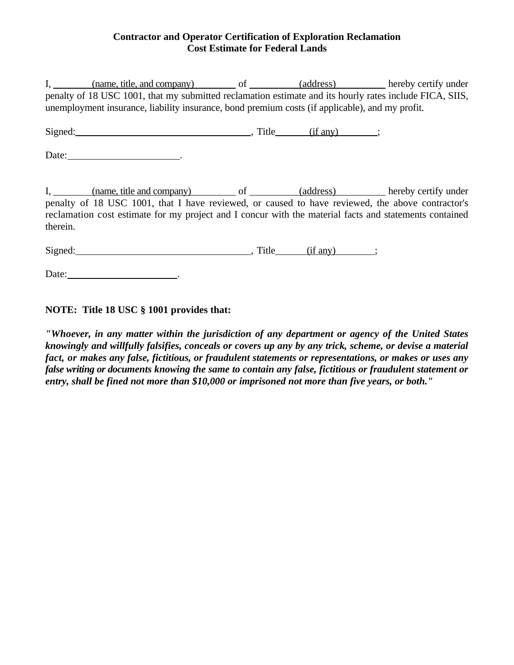### **Contractor and Operator Certification of Exploration Reclamation Cost Estimate for Federal Lands**

|          | I, (name, title, and company) of (address) hereby certify under<br>penalty of 18 USC 1001, that my submitted reclamation estimate and its hourly rates include FICA, SIIS,<br>unemployment insurance, liability insurance, bond premium costs (if applicable), and my profit. |  |  |
|----------|-------------------------------------------------------------------------------------------------------------------------------------------------------------------------------------------------------------------------------------------------------------------------------|--|--|
|          | Signed: (if any) ;                                                                                                                                                                                                                                                            |  |  |
|          |                                                                                                                                                                                                                                                                               |  |  |
| therein. | I, (name, title and company) of (address) hereby certify under<br>penalty of 18 USC 1001, that I have reviewed, or caused to have reviewed, the above contractor's<br>reclamation cost estimate for my project and I concur with the material facts and statements contained  |  |  |
|          | Signed: (if any) ;                                                                                                                                                                                                                                                            |  |  |
|          | Date:                                                                                                                                                                                                                                                                         |  |  |

**NOTE: Title 18 USC § 1001 provides that:**

*"Whoever, in any matter within the jurisdiction of any department or agency of the United States knowingly and willfully falsifies, conceals or covers up any by any trick, scheme, or devise a material fact, or makes any false, fictitious, or fraudulent statements or representations, or makes or uses any false writing or documents knowing the same to contain any false, fictitious or fraudulent statement or entry, shall be fined not more than \$10,000 or imprisoned not more than five years, or both."*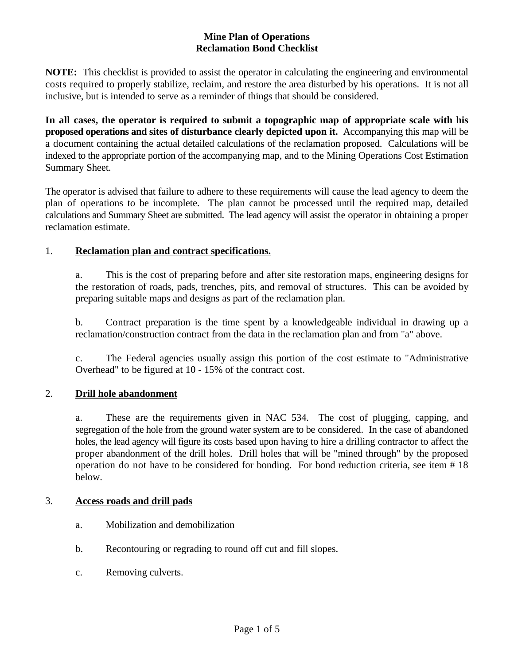### **Mine Plan of Operations Reclamation Bond Checklist**

**NOTE:** This checklist is provided to assist the operator in calculating the engineering and environmental costs required to properly stabilize, reclaim, and restore the area disturbed by his operations. It is not all inclusive, but is intended to serve as a reminder of things that should be considered.

**In all cases, the operator is required to submit a topographic map of appropriate scale with his proposed operations and sites of disturbance clearly depicted upon it.** Accompanying this map will be a document containing the actual detailed calculations of the reclamation proposed. Calculations will be indexed to the appropriate portion of the accompanying map, and to the Mining Operations Cost Estimation Summary Sheet.

The operator is advised that failure to adhere to these requirements will cause the lead agency to deem the plan of operations to be incomplete. The plan cannot be processed until the required map, detailed calculations and Summary Sheet are submitted. The lead agency will assist the operator in obtaining a proper reclamation estimate.

### 1. **Reclamation plan and contract specifications.**

a. This is the cost of preparing before and after site restoration maps, engineering designs for the restoration of roads, pads, trenches, pits, and removal of structures. This can be avoided by preparing suitable maps and designs as part of the reclamation plan.

b. Contract preparation is the time spent by a knowledgeable individual in drawing up a reclamation/construction contract from the data in the reclamation plan and from "a" above.

c. The Federal agencies usually assign this portion of the cost estimate to "Administrative Overhead" to be figured at 10 - 15% of the contract cost.

### 2. **Drill hole abandonment**

a. These are the requirements given in NAC 534. The cost of plugging, capping, and segregation of the hole from the ground water system are to be considered. In the case of abandoned holes, the lead agency will figure its costs based upon having to hire a drilling contractor to affect the proper abandonment of the drill holes. Drill holes that will be "mined through" by the proposed operation do not have to be considered for bonding. For bond reduction criteria, see item # 18 below.

### 3. **Access roads and drill pads**

- a. Mobilization and demobilization
- b. Recontouring or regrading to round off cut and fill slopes.
- c. Removing culverts.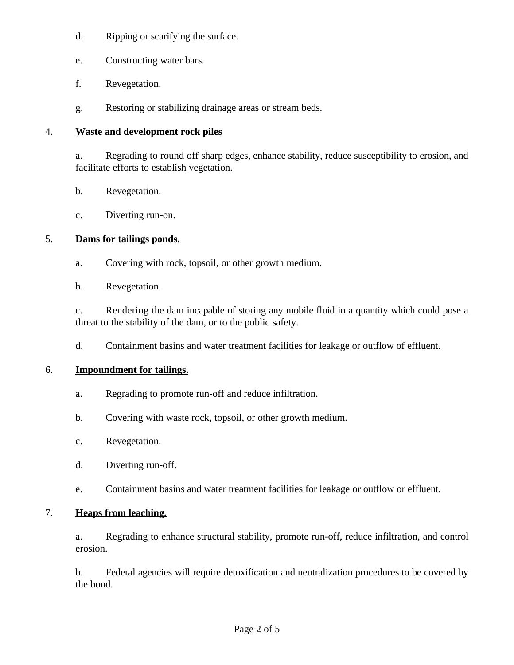- d. Ripping or scarifying the surface.
- e. Constructing water bars.
- f. Revegetation.
- g. Restoring or stabilizing drainage areas or stream beds.

### 4. **Waste and development rock piles**

a. Regrading to round off sharp edges, enhance stability, reduce susceptibility to erosion, and facilitate efforts to establish vegetation.

- b. Revegetation.
- c. Diverting run-on.

### 5. **Dams for tailings ponds.**

- a. Covering with rock, topsoil, or other growth medium.
- b. Revegetation.

c. Rendering the dam incapable of storing any mobile fluid in a quantity which could pose a threat to the stability of the dam, or to the public safety.

d. Containment basins and water treatment facilities for leakage or outflow of effluent.

### 6. **Impoundment for tailings.**

- a. Regrading to promote run-off and reduce infiltration.
- b. Covering with waste rock, topsoil, or other growth medium.
- c. Revegetation.
- d. Diverting run-off.
- e. Containment basins and water treatment facilities for leakage or outflow or effluent.

### 7. **Heaps from leaching.**

a. Regrading to enhance structural stability, promote run-off, reduce infiltration, and control erosion.

b. Federal agencies will require detoxification and neutralization procedures to be covered by the bond.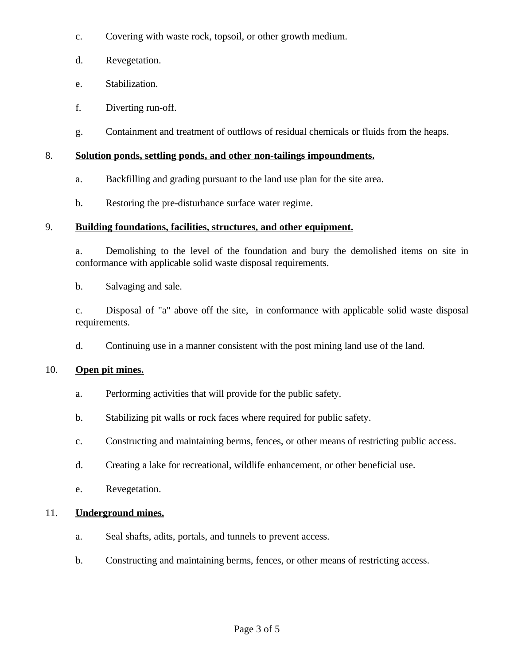- c. Covering with waste rock, topsoil, or other growth medium.
- d. Revegetation.
- e. Stabilization.
- f. Diverting run-off.
- g. Containment and treatment of outflows of residual chemicals or fluids from the heaps.

## 8. **Solution ponds, settling ponds, and other non-tailings impoundments.**

- a. Backfilling and grading pursuant to the land use plan for the site area.
- b. Restoring the pre-disturbance surface water regime.

# 9. **Building foundations, facilities, structures, and other equipment.**

a. Demolishing to the level of the foundation and bury the demolished items on site in conformance with applicable solid waste disposal requirements.

b. Salvaging and sale.

c. Disposal of "a" above off the site, in conformance with applicable solid waste disposal requirements.

d. Continuing use in a manner consistent with the post mining land use of the land.

# 10. **Open pit mines.**

- a. Performing activities that will provide for the public safety.
- b. Stabilizing pit walls or rock faces where required for public safety.
- c. Constructing and maintaining berms, fences, or other means of restricting public access.
- d. Creating a lake for recreational, wildlife enhancement, or other beneficial use.
- e. Revegetation.

# 11. **Underground mines.**

- a. Seal shafts, adits, portals, and tunnels to prevent access.
- b. Constructing and maintaining berms, fences, or other means of restricting access.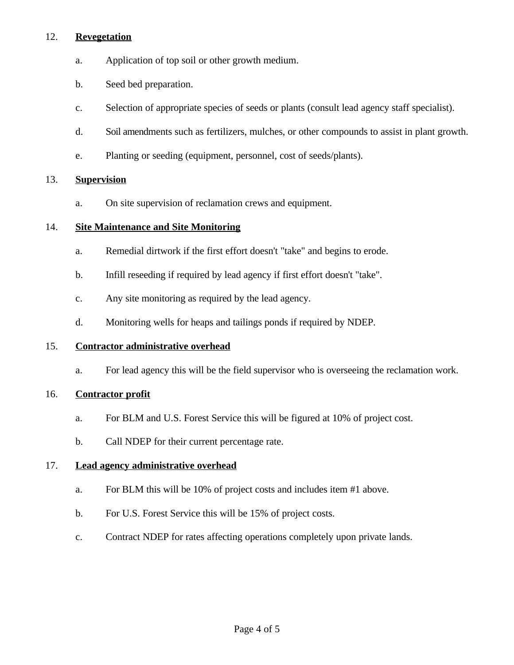### 12. **Revegetation**

- a. Application of top soil or other growth medium.
- b. Seed bed preparation.
- c. Selection of appropriate species of seeds or plants (consult lead agency staff specialist).
- d. Soil amendments such as fertilizers, mulches, or other compounds to assist in plant growth.
- e. Planting or seeding (equipment, personnel, cost of seeds/plants).

### 13. **Supervision**

a. On site supervision of reclamation crews and equipment.

### 14. **Site Maintenance and Site Monitoring**

- a. Remedial dirtwork if the first effort doesn't "take" and begins to erode.
- b. Infill reseeding if required by lead agency if first effort doesn't "take".
- c. Any site monitoring as required by the lead agency.
- d. Monitoring wells for heaps and tailings ponds if required by NDEP.

### 15. **Contractor administrative overhead**

a. For lead agency this will be the field supervisor who is overseeing the reclamation work.

### 16. **Contractor profit**

- a. For BLM and U.S. Forest Service this will be figured at 10% of project cost.
- b. Call NDEP for their current percentage rate.

### 17. **Lead agency administrative overhead**

- a. For BLM this will be 10% of project costs and includes item #1 above.
- b. For U.S. Forest Service this will be 15% of project costs.
- c. Contract NDEP for rates affecting operations completely upon private lands.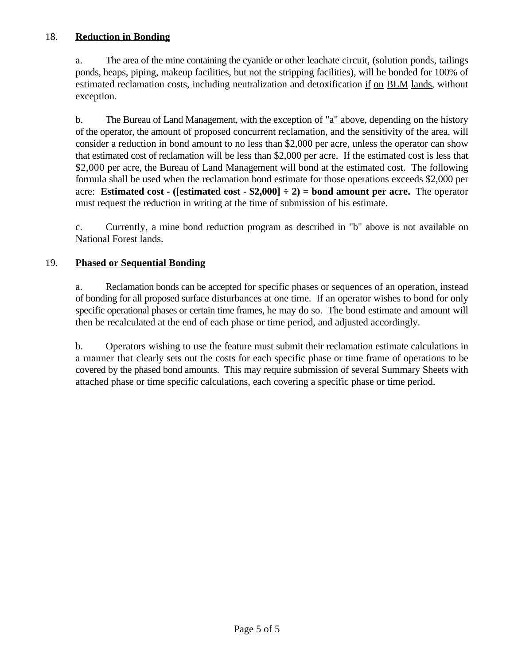### 18. **Reduction in Bonding**

a. The area of the mine containing the cyanide or other leachate circuit, (solution ponds, tailings ponds, heaps, piping, makeup facilities, but not the stripping facilities), will be bonded for 100% of estimated reclamation costs, including neutralization and detoxification if on BLM lands, without exception.

b. The Bureau of Land Management, with the exception of "a" above, depending on the history of the operator, the amount of proposed concurrent reclamation, and the sensitivity of the area, will consider a reduction in bond amount to no less than \$2,000 per acre, unless the operator can show that estimated cost of reclamation will be less than \$2,000 per acre. If the estimated cost is less that \$2,000 per acre, the Bureau of Land Management will bond at the estimated cost. The following formula shall be used when the reclamation bond estimate for those operations exceeds \$2,000 per acre: **Estimated cost - ([estimated cost - \$2,000]**  $\div$  2) = **bond amount per acre.** The operator must request the reduction in writing at the time of submission of his estimate.

c. Currently, a mine bond reduction program as described in "b" above is not available on National Forest lands.

### 19. **Phased or Sequential Bonding**

a. Reclamation bonds can be accepted for specific phases or sequences of an operation, instead of bonding for all proposed surface disturbances at one time. If an operator wishes to bond for only specific operational phases or certain time frames, he may do so. The bond estimate and amount will then be recalculated at the end of each phase or time period, and adjusted accordingly.

b. Operators wishing to use the feature must submit their reclamation estimate calculations in a manner that clearly sets out the costs for each specific phase or time frame of operations to be covered by the phased bond amounts. This may require submission of several Summary Sheets with attached phase or time specific calculations, each covering a specific phase or time period.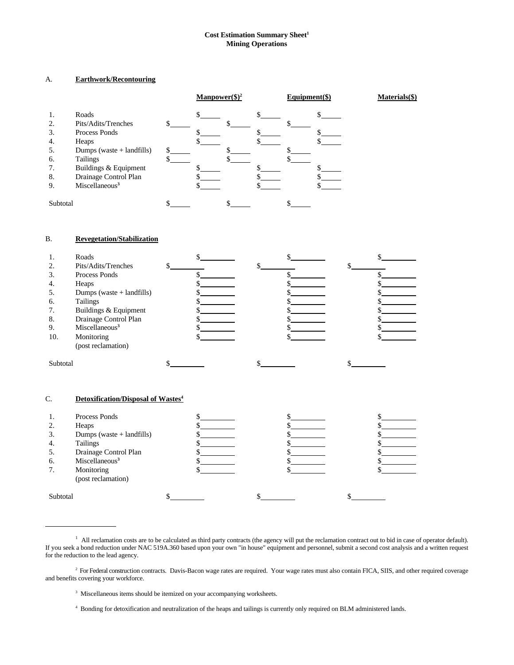#### **Cost Estimation Summary Sheet<sup>1</sup> Mining Operations**

#### A. **Earthwork/Recontouring**

|          |                             |   | $\text{Manpower}(\text{$\S$})^2$ |  | $Equipment(\$))$ | Materials(\$) |
|----------|-----------------------------|---|----------------------------------|--|------------------|---------------|
| 1.       | Roads                       |   |                                  |  |                  |               |
| 2.       | Pits/Adits/Trenches         |   |                                  |  |                  |               |
| 3.       | Process Ponds               |   |                                  |  |                  |               |
| 4.       | Heaps                       |   |                                  |  |                  |               |
| 5.       | Dumps (waste $+$ landfills) | ፍ |                                  |  |                  |               |
| 6.       | <b>Tailings</b>             |   |                                  |  |                  |               |
| 7.       | Buildings & Equipment       |   |                                  |  |                  |               |
| 8.       | Drainage Control Plan       |   |                                  |  |                  |               |
| 9.       | Miscellaneous <sup>3</sup>  |   |                                  |  |                  |               |
| Subtotal |                             |   |                                  |  |                  |               |
|          |                             |   |                                  |  |                  |               |

#### B. **Revegetation/Stabilization**

|          | Roads                       |  |  |
|----------|-----------------------------|--|--|
| 2.       | Pits/Adits/Trenches         |  |  |
| 3.       | Process Ponds               |  |  |
| 4.       | Heaps                       |  |  |
|          | Dumps (waste $+$ landfills) |  |  |
| 6.       | <b>Tailings</b>             |  |  |
| 7.       | Buildings & Equipment       |  |  |
| 8.       | Drainage Control Plan       |  |  |
| 9.       | Miscellaneous <sup>3</sup>  |  |  |
| 10.      | Monitoring                  |  |  |
|          | (post reclamation)          |  |  |
| Subtotal |                             |  |  |

#### C. **Detoxification/Disposal of Wastes<sup>4</sup>**

 $\overline{\phantom{0}}$ 

|          | Process Ponds               |  |  |
|----------|-----------------------------|--|--|
| 2.       | Heaps                       |  |  |
| 3.       | Dumps (waste $+$ landfills) |  |  |
| 4.       | <b>Tailings</b>             |  |  |
|          | Drainage Control Plan       |  |  |
| 6.       | Miscellaneous <sup>3</sup>  |  |  |
| 7.       | Monitoring                  |  |  |
|          | (post reclamation)          |  |  |
|          |                             |  |  |
| Subtotal |                             |  |  |

<sup>3</sup> Miscellaneous items should be itemized on your accompanying worksheets.

Bonding for detoxification and neutralization of the heaps and tailings is currently only required on BLM administered lands. <sup>4</sup>

 $\mu$  All reclamation costs are to be calculated as third party contracts (the agency will put the reclamation contract out to bid in case of operator default). If you seek a bond reduction under NAC 519A.360 based upon your own "in house" equipment and personnel, submit a second cost analysis and a written request for the reduction to the lead agency.

<sup>&</sup>lt;sup>2</sup> For Federal construction contracts. Davis-Bacon wage rates are required. Your wage rates must also contain FICA, SIIS, and other required coverage and benefits covering your workforce.